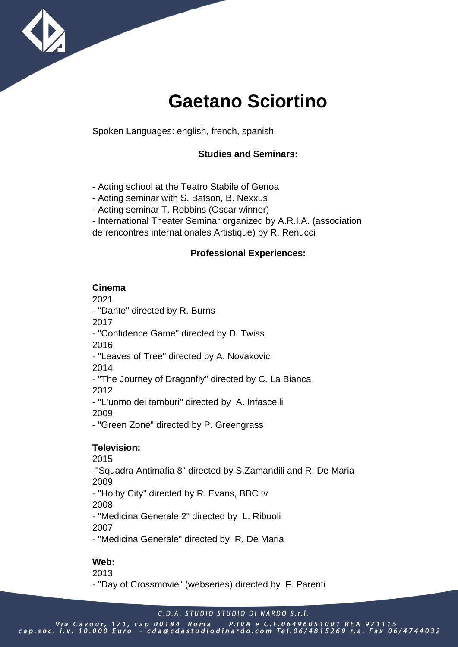

# **Gaetano Sciortino**

Spoken Languages: english, french, spanish

#### **Studies and Seminars:**

- Acting school at the Teatro Stabile of Genoa
- Acting seminar with S. Batson, B. Nexxus
- Acting seminar T. Robbins (Oscar winner)
- International Theater Seminar organized by A.R.I.A. (association
- de rencontres internationales Artistique) by R. Renucci

#### **Professional Experiences:**

#### **Cinema**

2021

- "Dante" directed by R. Burns

2017

- "Confidence Game" directed by D. Twiss

2016

- "Leaves of Tree" directed by A. Novakovic

2014

- "The Journey of Dragonfly" directed by C. La Bianca 2012

- ''L'uomo dei tamburi'' directed by A. Infascelli 2009

- "Green Zone" directed by P. Greengrass

#### **Television:**

2015

-"Squadra Antimafia 8" directed by S.Zamandili and R. De Maria 2009

- "Holby City" directed by R. Evans, BBC tv

2008

- "Medicina Generale 2" directed by L. Ribuoli 2007

- "Medicina Generale" directed by R. De Maria

### **Web:**

2013 - "Day of Crossmovie" (webseries) directed by F. Parenti

C.D.A. STUDIO STUDIO DI NARDO S.r.I.